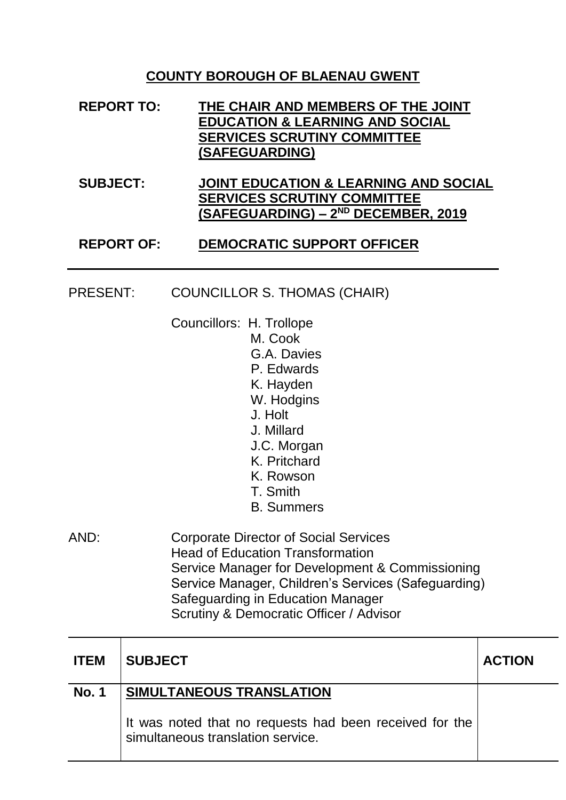## **COUNTY BOROUGH OF BLAENAU GWENT**

| <b>REPORT TO:</b> | THE CHAIR AND MEMBERS OF THE JOINT         |
|-------------------|--------------------------------------------|
|                   | <b>EDUCATION &amp; LEARNING AND SOCIAL</b> |
|                   | <b>SERVICES SCRUTINY COMMITTEE</b>         |
|                   | (SAFEGUARDING)                             |

### **SUBJECT: JOINT EDUCATION & LEARNING AND SOCIAL SERVICES SCRUTINY COMMITTEE (SAFEGUARDING) – 2 ND DECEMBER, 2019**

### **REPORT OF: DEMOCRATIC SUPPORT OFFICER**

#### PRESENT: COUNCILLOR S. THOMAS (CHAIR)

Councillors: H. Trollope

- M. Cook G.A. Davies
	- P. Edwards
	- K. Hayden
	- W. Hodgins
	- J. Holt
	- J. Millard
	- J.C. Morgan
	- K. Pritchard
- K. Rowson
- T. Smith
- B. Summers
- AND: Corporate Director of Social Services Head of Education Transformation Service Manager for Development & Commissioning Service Manager, Children's Services (Safeguarding) Safeguarding in Education Manager Scrutiny & Democratic Officer / Advisor

| <b>ITEM</b>  | <b>SUBJECT</b>                                                                               | <b>ACTION</b> |
|--------------|----------------------------------------------------------------------------------------------|---------------|
| <b>No. 1</b> | SIMULTANEOUS TRANSLATION                                                                     |               |
|              | It was noted that no requests had been received for the<br>simultaneous translation service. |               |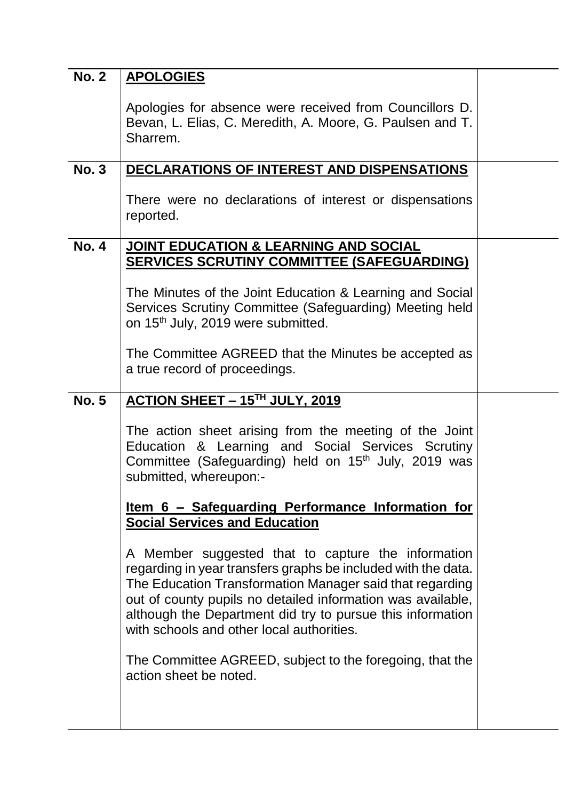| <b>No. 2</b> | <b>APOLOGIES</b>                                                                                                                                                                                                                                                                                                                                          |  |
|--------------|-----------------------------------------------------------------------------------------------------------------------------------------------------------------------------------------------------------------------------------------------------------------------------------------------------------------------------------------------------------|--|
|              | Apologies for absence were received from Councillors D.<br>Bevan, L. Elias, C. Meredith, A. Moore, G. Paulsen and T.<br>Sharrem.                                                                                                                                                                                                                          |  |
| <b>No. 3</b> | <b>DECLARATIONS OF INTEREST AND DISPENSATIONS</b>                                                                                                                                                                                                                                                                                                         |  |
|              | There were no declarations of interest or dispensations<br>reported.                                                                                                                                                                                                                                                                                      |  |
| <b>No. 4</b> | <b>JOINT EDUCATION &amp; LEARNING AND SOCIAL</b><br><b>SERVICES SCRUTINY COMMITTEE (SAFEGUARDING)</b>                                                                                                                                                                                                                                                     |  |
|              | The Minutes of the Joint Education & Learning and Social<br>Services Scrutiny Committee (Safeguarding) Meeting held<br>on 15 <sup>th</sup> July, 2019 were submitted.                                                                                                                                                                                     |  |
|              | The Committee AGREED that the Minutes be accepted as<br>a true record of proceedings.                                                                                                                                                                                                                                                                     |  |
| <b>No. 5</b> | ACTION SHEET - 15TH JULY, 2019                                                                                                                                                                                                                                                                                                                            |  |
|              | The action sheet arising from the meeting of the Joint<br>Education & Learning and Social Services Scrutiny<br>Committee (Safeguarding) held on 15 <sup>th</sup> July, 2019 was<br>submitted, whereupon:-                                                                                                                                                 |  |
|              | <u>Item 6 – Safeguarding Performance Information for</u><br><b>Social Services and Education</b>                                                                                                                                                                                                                                                          |  |
|              | A Member suggested that to capture the information<br>regarding in year transfers graphs be included with the data.<br>The Education Transformation Manager said that regarding<br>out of county pupils no detailed information was available,<br>although the Department did try to pursue this information<br>with schools and other local authorities. |  |
|              | The Committee AGREED, subject to the foregoing, that the<br>action sheet be noted.                                                                                                                                                                                                                                                                        |  |
|              |                                                                                                                                                                                                                                                                                                                                                           |  |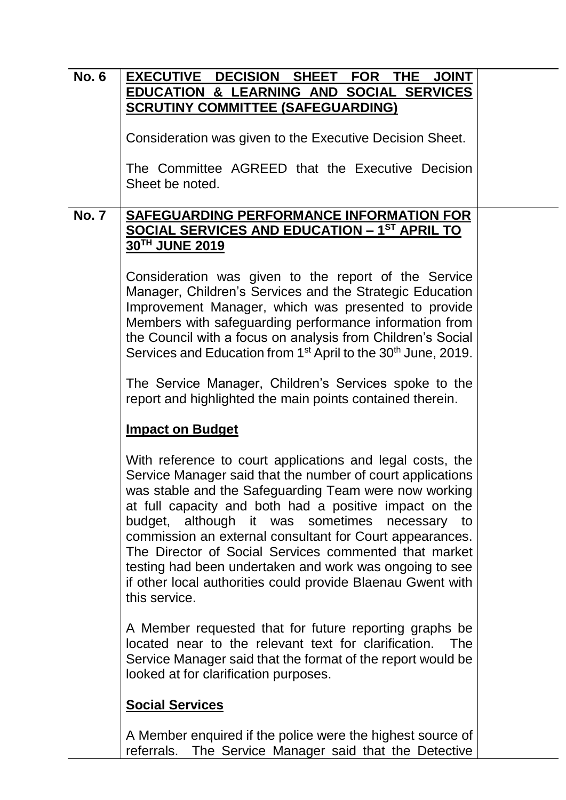| <b>No. 6</b> | EXECUTIVE DECISION SHEET FOR THE JOINT                                                                                                                                                                                                                                                                                                                                                                                                                                                                                                                       |  |  |
|--------------|--------------------------------------------------------------------------------------------------------------------------------------------------------------------------------------------------------------------------------------------------------------------------------------------------------------------------------------------------------------------------------------------------------------------------------------------------------------------------------------------------------------------------------------------------------------|--|--|
|              | <b>EDUCATION &amp; LEARNING AND SOCIAL SERVICES</b>                                                                                                                                                                                                                                                                                                                                                                                                                                                                                                          |  |  |
|              | <b>SCRUTINY COMMITTEE (SAFEGUARDING)</b>                                                                                                                                                                                                                                                                                                                                                                                                                                                                                                                     |  |  |
|              | Consideration was given to the Executive Decision Sheet.                                                                                                                                                                                                                                                                                                                                                                                                                                                                                                     |  |  |
|              | The Committee AGREED that the Executive Decision<br>Sheet be noted.                                                                                                                                                                                                                                                                                                                                                                                                                                                                                          |  |  |
| <b>No. 7</b> | SAFEGUARDING PERFORMANCE INFORMATION FOR                                                                                                                                                                                                                                                                                                                                                                                                                                                                                                                     |  |  |
|              | <b>SOCIAL SERVICES AND EDUCATION - 1ST APRIL TO</b><br>30TH JUNE 2019                                                                                                                                                                                                                                                                                                                                                                                                                                                                                        |  |  |
|              | Consideration was given to the report of the Service<br>Manager, Children's Services and the Strategic Education<br>Improvement Manager, which was presented to provide<br>Members with safeguarding performance information from<br>the Council with a focus on analysis from Children's Social<br>Services and Education from 1 <sup>st</sup> April to the 30 <sup>th</sup> June, 2019.                                                                                                                                                                    |  |  |
|              | The Service Manager, Children's Services spoke to the<br>report and highlighted the main points contained therein.                                                                                                                                                                                                                                                                                                                                                                                                                                           |  |  |
|              | <b>Impact on Budget</b>                                                                                                                                                                                                                                                                                                                                                                                                                                                                                                                                      |  |  |
|              | With reference to court applications and legal costs, the<br>Service Manager said that the number of court applications<br>was stable and the Safeguarding Team were now working<br>at full capacity and both had a positive impact on the<br>budget, although it was sometimes necessary to<br>commission an external consultant for Court appearances.<br>The Director of Social Services commented that market<br>testing had been undertaken and work was ongoing to see<br>if other local authorities could provide Blaenau Gwent with<br>this service. |  |  |
|              | A Member requested that for future reporting graphs be<br>located near to the relevant text for clarification. The<br>Service Manager said that the format of the report would be<br>looked at for clarification purposes.                                                                                                                                                                                                                                                                                                                                   |  |  |
|              | <b>Social Services</b>                                                                                                                                                                                                                                                                                                                                                                                                                                                                                                                                       |  |  |
|              | A Member enquired if the police were the highest source of<br>referrals. The Service Manager said that the Detective                                                                                                                                                                                                                                                                                                                                                                                                                                         |  |  |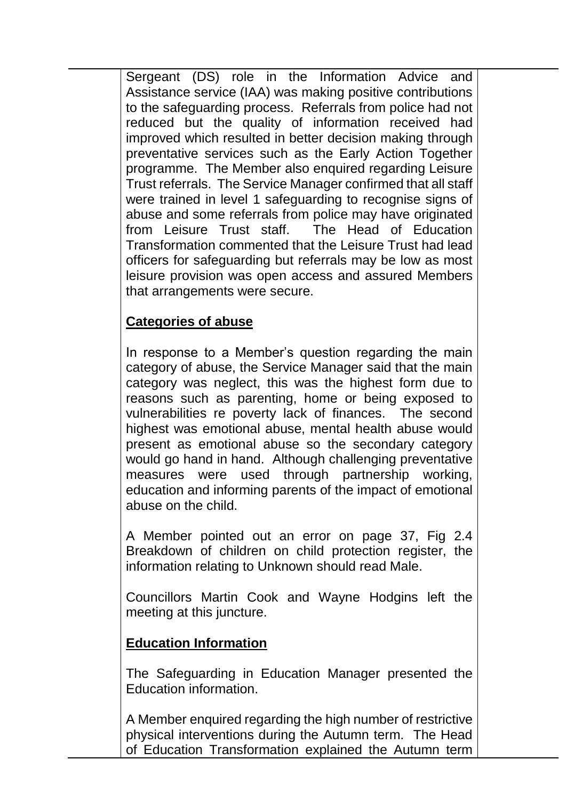Sergeant (DS) role in the Information Advice and Assistance service (IAA) was making positive contributions to the safeguarding process. Referrals from police had not reduced but the quality of information received had improved which resulted in better decision making through preventative services such as the Early Action Together programme. The Member also enquired regarding Leisure Trust referrals. The Service Manager confirmed that all staff were trained in level 1 safeguarding to recognise signs of abuse and some referrals from police may have originated from Leisure Trust staff. The Head of Education Transformation commented that the Leisure Trust had lead officers for safeguarding but referrals may be low as most leisure provision was open access and assured Members that arrangements were secure.

# **Categories of abuse**

In response to a Member's question regarding the main category of abuse, the Service Manager said that the main category was neglect, this was the highest form due to reasons such as parenting, home or being exposed to vulnerabilities re poverty lack of finances. The second highest was emotional abuse, mental health abuse would present as emotional abuse so the secondary category would go hand in hand. Although challenging preventative measures were used through partnership working, education and informing parents of the impact of emotional abuse on the child.

A Member pointed out an error on page 37, Fig 2.4 Breakdown of children on child protection register, the information relating to Unknown should read Male.

Councillors Martin Cook and Wayne Hodgins left the meeting at this juncture.

# **Education Information**

The Safeguarding in Education Manager presented the Education information.

A Member enquired regarding the high number of restrictive physical interventions during the Autumn term. The Head of Education Transformation explained the Autumn term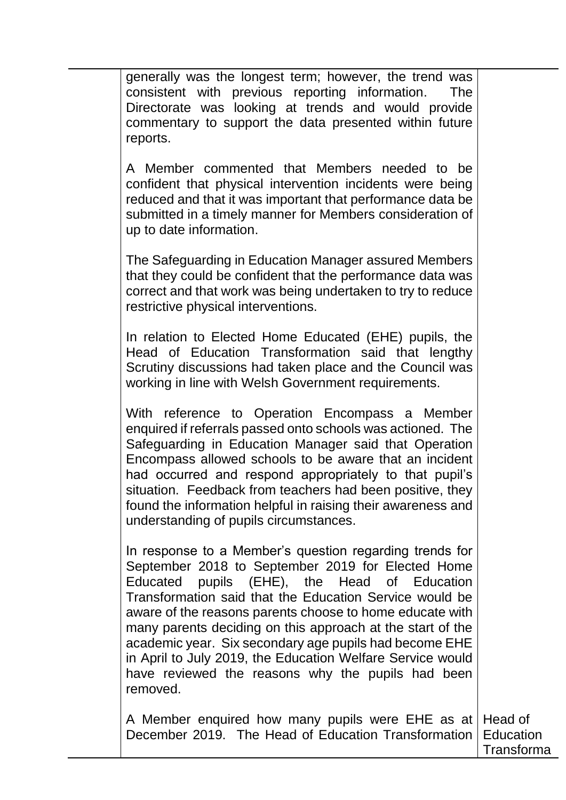generally was the longest term; however, the trend was consistent with previous reporting information. The Directorate was looking at trends and would provide commentary to support the data presented within future reports.

A Member commented that Members needed to be confident that physical intervention incidents were being reduced and that it was important that performance data be submitted in a timely manner for Members consideration of up to date information.

The Safeguarding in Education Manager assured Members that they could be confident that the performance data was correct and that work was being undertaken to try to reduce restrictive physical interventions.

In relation to Elected Home Educated (EHE) pupils, the Head of Education Transformation said that lengthy Scrutiny discussions had taken place and the Council was working in line with Welsh Government requirements.

With reference to Operation Encompass a Member enquired if referrals passed onto schools was actioned. The Safeguarding in Education Manager said that Operation Encompass allowed schools to be aware that an incident had occurred and respond appropriately to that pupil's situation. Feedback from teachers had been positive, they found the information helpful in raising their awareness and understanding of pupils circumstances.

In response to a Member's question regarding trends for September 2018 to September 2019 for Elected Home Educated pupils (EHE), the Head of Education Transformation said that the Education Service would be aware of the reasons parents choose to home educate with many parents deciding on this approach at the start of the academic year. Six secondary age pupils had become EHE in April to July 2019, the Education Welfare Service would have reviewed the reasons why the pupils had been removed.

A Member enquired how many pupils were EHE as at December 2019. The Head of Education Transformation Head of **Education** 

Transforma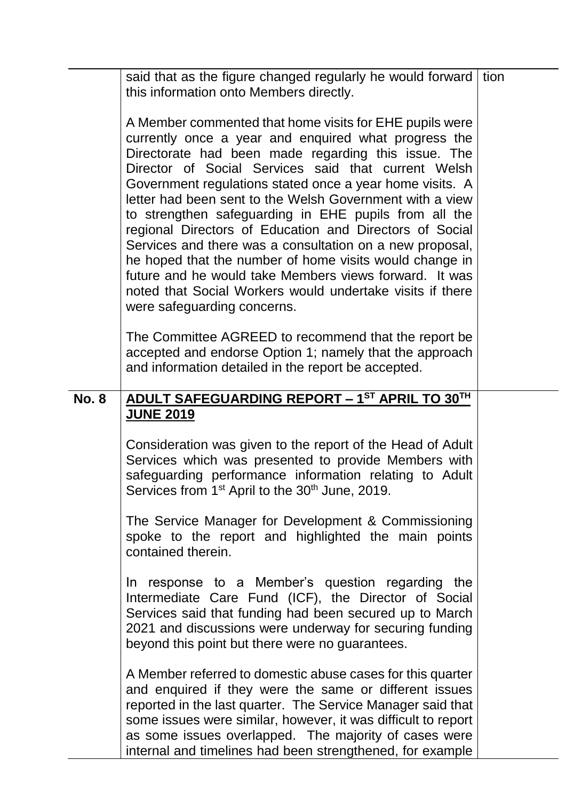|              | said that as the figure changed regularly he would forward<br>this information onto Members directly.                                                                                                                                                                                                                                                                                                                                                                                                                                                                                                                                                                                                                                                  | tion |
|--------------|--------------------------------------------------------------------------------------------------------------------------------------------------------------------------------------------------------------------------------------------------------------------------------------------------------------------------------------------------------------------------------------------------------------------------------------------------------------------------------------------------------------------------------------------------------------------------------------------------------------------------------------------------------------------------------------------------------------------------------------------------------|------|
|              | A Member commented that home visits for EHE pupils were<br>currently once a year and enquired what progress the<br>Directorate had been made regarding this issue. The<br>Director of Social Services said that current Welsh<br>Government regulations stated once a year home visits. A<br>letter had been sent to the Welsh Government with a view<br>to strengthen safeguarding in EHE pupils from all the<br>regional Directors of Education and Directors of Social<br>Services and there was a consultation on a new proposal,<br>he hoped that the number of home visits would change in<br>future and he would take Members views forward. It was<br>noted that Social Workers would undertake visits if there<br>were safeguarding concerns. |      |
|              | The Committee AGREED to recommend that the report be<br>accepted and endorse Option 1; namely that the approach<br>and information detailed in the report be accepted.                                                                                                                                                                                                                                                                                                                                                                                                                                                                                                                                                                                 |      |
| <b>No. 8</b> | ADULT SAFEGUARDING REPORT - 1ST APRIL TO 30TH<br><b>JUNE 2019</b>                                                                                                                                                                                                                                                                                                                                                                                                                                                                                                                                                                                                                                                                                      |      |
|              | Consideration was given to the report of the Head of Adult<br>Services which was presented to provide Members with<br>safeguarding performance information relating to Adult<br>Services from 1 <sup>st</sup> April to the 30 <sup>th</sup> June, 2019.                                                                                                                                                                                                                                                                                                                                                                                                                                                                                                |      |
|              | The Service Manager for Development & Commissioning<br>spoke to the report and highlighted the main points<br>contained therein.                                                                                                                                                                                                                                                                                                                                                                                                                                                                                                                                                                                                                       |      |
|              | In response to a Member's question regarding the<br>Intermediate Care Fund (ICF), the Director of Social<br>Services said that funding had been secured up to March<br>2021 and discussions were underway for securing funding<br>beyond this point but there were no guarantees.                                                                                                                                                                                                                                                                                                                                                                                                                                                                      |      |
|              | A Member referred to domestic abuse cases for this quarter<br>and enquired if they were the same or different issues<br>reported in the last quarter. The Service Manager said that<br>some issues were similar, however, it was difficult to report<br>as some issues overlapped. The majority of cases were<br>internal and timelines had been strengthened, for example                                                                                                                                                                                                                                                                                                                                                                             |      |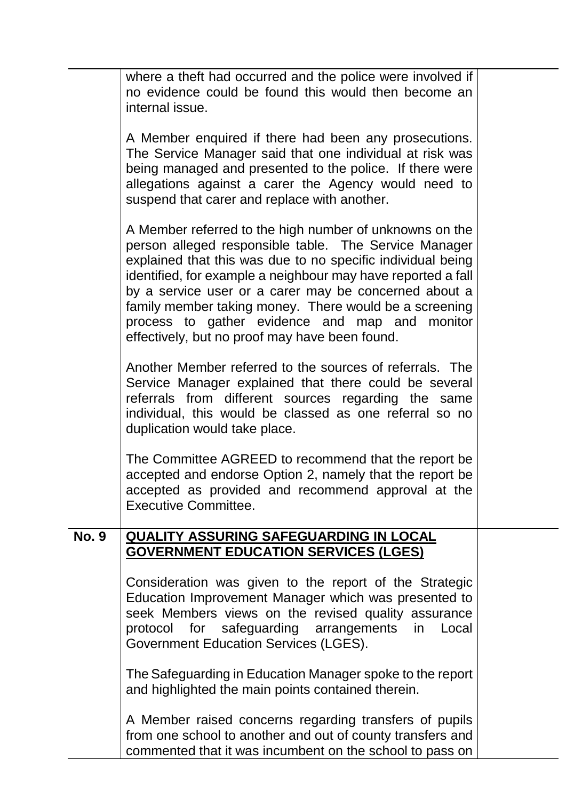|              | where a theft had occurred and the police were involved if<br>no evidence could be found this would then become an<br>internal issue.                                                                                                                                                                                                                                                                                                                                  |  |
|--------------|------------------------------------------------------------------------------------------------------------------------------------------------------------------------------------------------------------------------------------------------------------------------------------------------------------------------------------------------------------------------------------------------------------------------------------------------------------------------|--|
|              | A Member enquired if there had been any prosecutions.<br>The Service Manager said that one individual at risk was<br>being managed and presented to the police. If there were<br>allegations against a carer the Agency would need to<br>suspend that carer and replace with another.                                                                                                                                                                                  |  |
|              | A Member referred to the high number of unknowns on the<br>person alleged responsible table. The Service Manager<br>explained that this was due to no specific individual being<br>identified, for example a neighbour may have reported a fall<br>by a service user or a carer may be concerned about a<br>family member taking money. There would be a screening<br>process to gather evidence and map and monitor<br>effectively, but no proof may have been found. |  |
|              | Another Member referred to the sources of referrals. The<br>Service Manager explained that there could be several<br>referrals from different sources regarding the same<br>individual, this would be classed as one referral so no<br>duplication would take place.                                                                                                                                                                                                   |  |
|              | The Committee AGREED to recommend that the report be<br>accepted and endorse Option 2, namely that the report be<br>accepted as provided and recommend approval at the<br><b>Executive Committee.</b>                                                                                                                                                                                                                                                                  |  |
| <b>No. 9</b> | <b>QUALITY ASSURING SAFEGUARDING IN LOCAL</b><br><b>GOVERNMENT EDUCATION SERVICES (LGES)</b>                                                                                                                                                                                                                                                                                                                                                                           |  |
|              | Consideration was given to the report of the Strategic<br>Education Improvement Manager which was presented to<br>seek Members views on the revised quality assurance<br>protocol for safeguarding arrangements in<br>Local<br><b>Government Education Services (LGES).</b>                                                                                                                                                                                            |  |
|              | The Safeguarding in Education Manager spoke to the report<br>and highlighted the main points contained therein.                                                                                                                                                                                                                                                                                                                                                        |  |
|              | A Member raised concerns regarding transfers of pupils<br>from one school to another and out of county transfers and<br>commented that it was incumbent on the school to pass on                                                                                                                                                                                                                                                                                       |  |